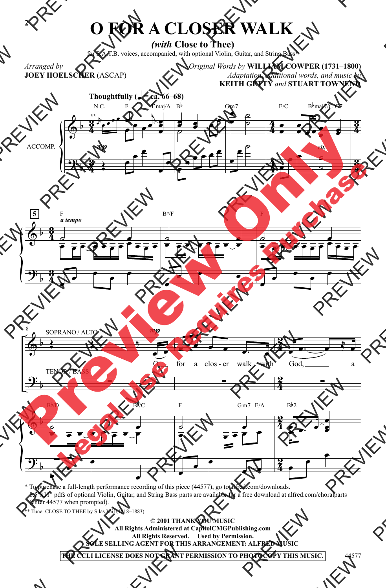## **O FOR A CLOSER WALK**

*(with* **Close to Thee)**

for S.A.T.B. voices, accompanied, with optional Violin, Guitar, and String Bass\*

*Arranged by* **JOEY HOELSCHER** (ASCAP)

## *Original Words by* **WILLIAM COWPER (1731–1800)**

*Adaptation, additional words, and music by* **KEITH GETTY** *and* **STUART TOWNEND**



\* To purchase a full-length performance recording of this piece (44577), go to alfred.com/downloads. 8.5"x11" pdfs of optional Violin, Guitar, and String Bass parts are available for a free download at alfred.com/choralparts (enter 44577 when prompted).

\*\* Tune: CLOSE TO THEE by Silas Vail (1818–1883)

## **© 2001 THANK YOU MUSIC All Rights Administered at CapitolCMGPublishing.com All Rights Reserved. Used by Permission. SOLE SELLING AGENT FOR THIS ARRANGEMENT: ALFRED MUSIC**

**THE CCLI LICENSE DOES NOT GRANT PERMISSION TO PHOTOCOPY THIS MUSIC.**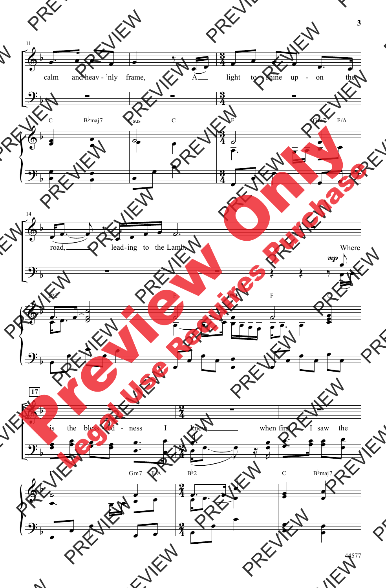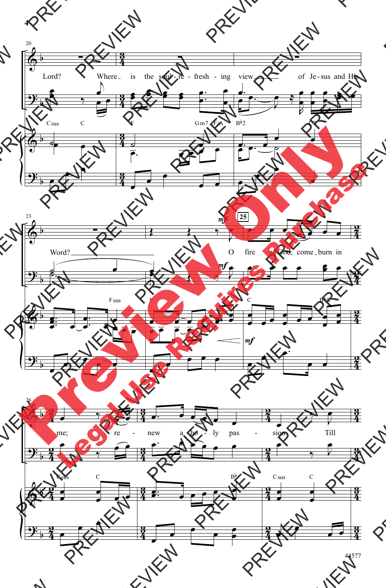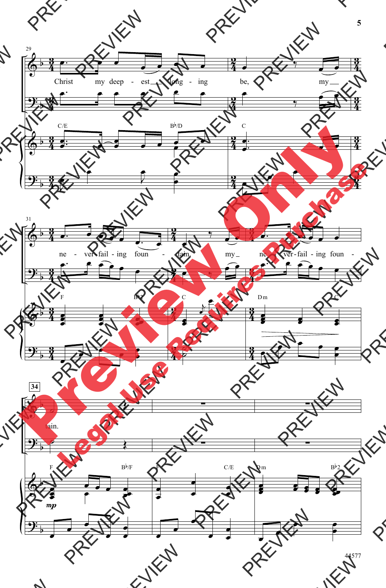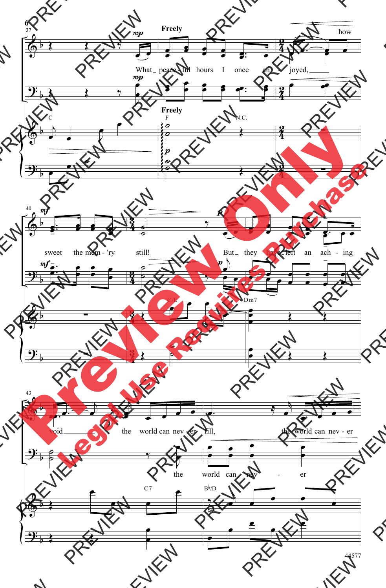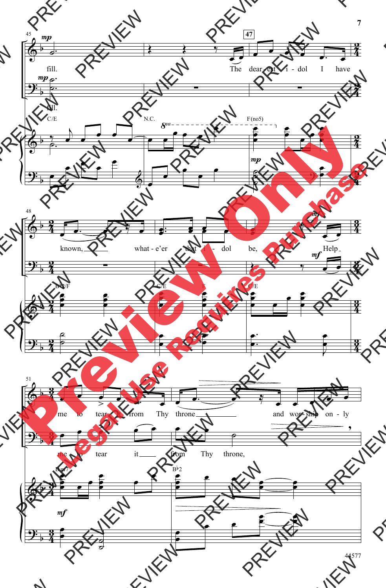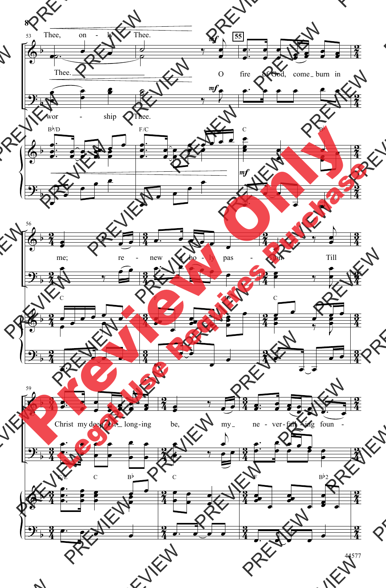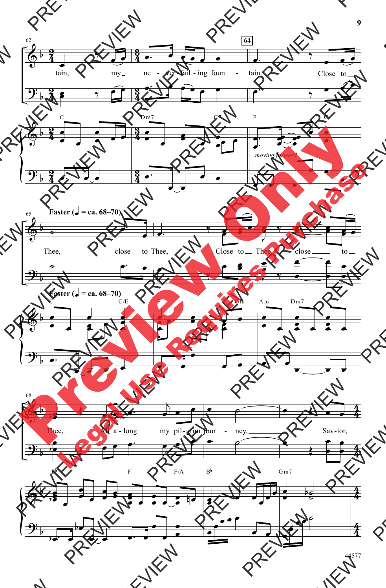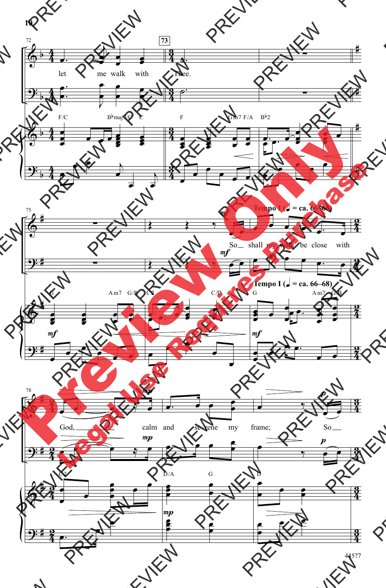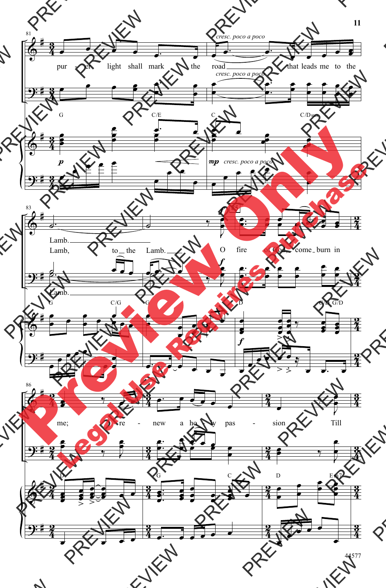